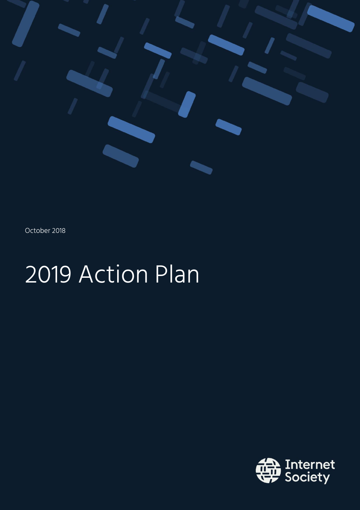

October 2018

# 2019 Action Plan

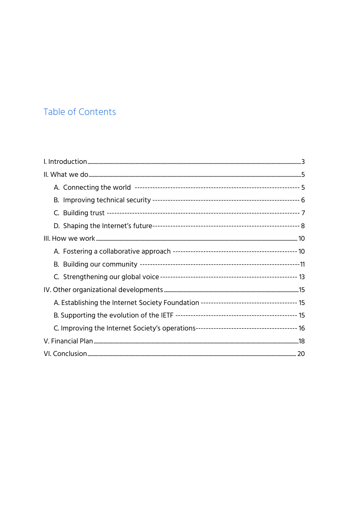## Table of Contents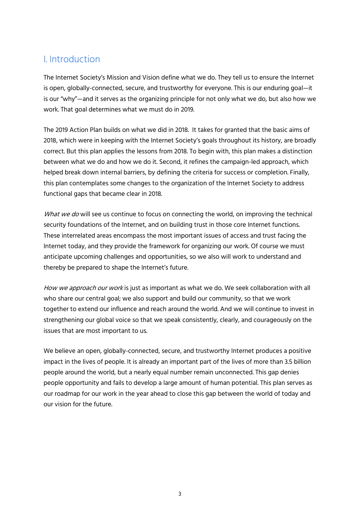## I. Introduction

The Internet Society's Mission and Vision define what we do. They tell us to ensure the Internet is open, globally-connected, secure, and trustworthy for everyone. This is our enduring goal—it is our "why"—and it serves as the organizing principle for not only what we do, but also how we work. That goal determines what we must do in 2019.

The 2019 Action Plan builds on what we did in 2018. It takes for granted that the basic aims of 2018, which were in keeping with the Internet Society's goals throughout its history, are broadly correct. But this plan applies the lessons from 2018. To begin with, this plan makes a distinction between what we do and how we do it. Second, it refines the campaign-led approach, which helped break down internal barriers, by defining the criteria for success or completion. Finally, this plan contemplates some changes to the organization of the Internet Society to address functional gaps that became clear in 2018.

What we do will see us continue to focus on connecting the world, on improving the technical security foundations of the Internet, and on building trust in those core Internet functions. These interrelated areas encompass the most important issues of access and trust facing the Internet today, and they provide the framework for organizing our work. Of course we must anticipate upcoming challenges and opportunities, so we also will work to understand and thereby be prepared to shape the Internet's future.

How we approach our work is just as important as what we do. We seek collaboration with all who share our central goal; we also support and build our community, so that we work together to extend our influence and reach around the world. And we will continue to invest in strengthening our global voice so that we speak consistently, clearly, and courageously on the issues that are most important to us.

We believe an open, globally-connected, secure, and trustworthy Internet produces a positive impact in the lives of people. It is already an important part of the lives of more than 3.5 billion people around the world, but a nearly equal number remain unconnected. This gap denies people opportunity and fails to develop a large amount of human potential. This plan serves as our roadmap for our work in the year ahead to close this gap between the world of today and our vision for the future.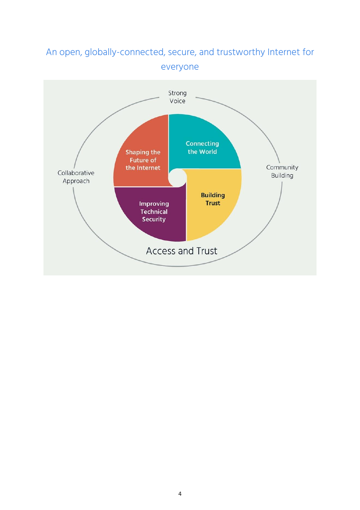

# An open, globally-connected, secure, and trustworthy Internet for everyone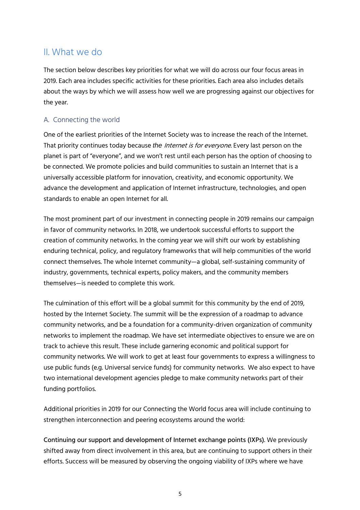## II. What we do

The section below describes key priorities for what we will do across our four focus areas in 2019. Each area includes specific activities for these priorities. Each area also includes details about the ways by which we will assess how well we are progressing against our objectives for the year.

#### A. Connecting the world

One of the earliest priorities of the Internet Society was to increase the reach of the Internet. That priority continues today because *the* Internet is for everyone. Every last person on the planet is part of "everyone", and we won't rest until each person has the option of choosing to be connected. We promote policies and build communities to sustain an Internet that is a universally accessible platform for innovation, creativity, and economic opportunity. We advance the development and application of Internet infrastructure, technologies, and open standards to enable an open Internet for all.

The most prominent part of our investment in connecting people in 2019 remains our campaign in favor of community networks. In 2018, we undertook successful efforts to support the creation of community networks. In the coming year we will shift our work by establishing enduring technical, policy, and regulatory frameworks that will help communities of the world connect themselves. The whole Internet community—a global, self-sustaining community of industry, governments, technical experts, policy makers, and the community members themselves—is needed to complete this work.

The culmination of this effort will be a global summit for this community by the end of 2019, hosted by the Internet Society. The summit will be the expression of a roadmap to advance community networks, and be a foundation for a community-driven organization of community networks to implement the roadmap. We have set intermediate objectives to ensure we are on track to achieve this result. These include garnering economic and political support for community networks. We will work to get at least four governments to express a willingness to use public funds (e.g. Universal service funds) for community networks. We also expect to have two international development agencies pledge to make community networks part of their funding portfolios.

Additional priorities in 2019 for our Connecting the World focus area will include continuing to strengthen interconnection and peering ecosystems around the world:

Continuing our support and development of Internet exchange points (IXPs). We previously shifted away from direct involvement in this area, but are continuing to support others in their efforts. Success will be measured by observing the ongoing viability of IXPs where we have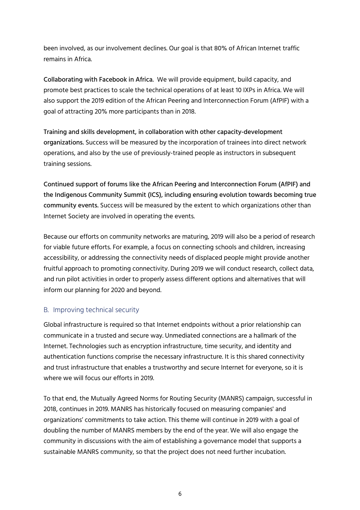been involved, as our involvement declines. Our goal is that 80% of African Internet traffic remains in Africa.

Collaborating with Facebook in Africa. We will provide equipment, build capacity, and promote best practices to scale the technical operations of at least 10 IXPs in Africa. We will also support the 2019 edition of the African Peering and Interconnection Forum (AfPIF) with a goal of attracting 20% more participants than in 2018.

Training and skills development, in collaboration with other capacity-development organizations. Success will be measured by the incorporation of trainees into direct network operations, and also by the use of previously-trained people as instructors in subsequent training sessions.

Continued support of forums like the African Peering and Interconnection Forum (AfPIF) and the Indigenous Community Summit (ICS), including ensuring evolution towards becoming true community events. Success will be measured by the extent to which organizations other than Internet Society are involved in operating the events.

Because our efforts on community networks are maturing, 2019 will also be a period of research for viable future efforts. For example, a focus on connecting schools and children, increasing accessibility, or addressing the connectivity needs of displaced people might provide another fruitful approach to promoting connectivity. During 2019 we will conduct research, collect data, and run pilot activities in order to properly assess different options and alternatives that will inform our planning for 2020 and beyond.

#### B. Improving technical security

Global infrastructure is required so that Internet endpoints without a prior relationship can communicate in a trusted and secure way. Unmediated connections are a hallmark of the Internet. Technologies such as encryption infrastructure, time security, and identity and authentication functions comprise the necessary infrastructure. It is this shared connectivity and trust infrastructure that enables a trustworthy and secure Internet for everyone, so it is where we will focus our efforts in 2019.

To that end, the Mutually Agreed Norms for Routing Security (MANRS) campaign, successful in 2018, continues in 2019. MANRS has historically focused on measuring companies' and organizations' commitments to take action. This theme will continue in 2019 with a goal of doubling the number of MANRS members by the end of the year. We will also engage the community in discussions with the aim of establishing a governance model that supports a sustainable MANRS community, so that the project does not need further incubation.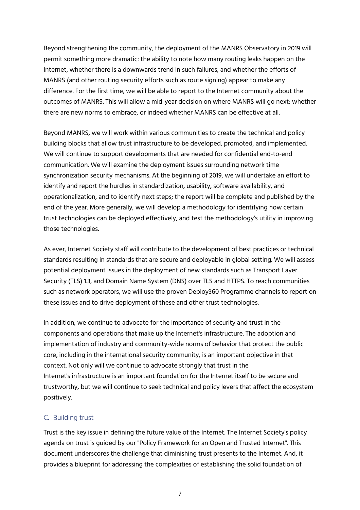Beyond strengthening the community, the deployment of the MANRS Observatory in 2019 will permit something more dramatic: the ability to note how many routing leaks happen on the Internet, whether there is a downwards trend in such failures, and whether the efforts of MANRS (and other routing security efforts such as route signing) appear to make any difference. For the first time, we will be able to report to the Internet community about the outcomes of MANRS. This will allow a mid-year decision on where MANRS will go next: whether there are new norms to embrace, or indeed whether MANRS can be effective at all.

Beyond MANRS, we will work within various communities to create the technical and policy building blocks that allow trust infrastructure to be developed, promoted, and implemented. We will continue to support developments that are needed for confidential end-to-end communication. We will examine the deployment issues surrounding network time synchronization security mechanisms. At the beginning of 2019, we will undertake an effort to identify and report the hurdles in standardization, usability, software availability, and operationalization, and to identify next steps; the report will be complete and published by the end of the year. More generally, we will develop a methodology for identifying how certain trust technologies can be deployed effectively, and test the methodology's utility in improving those technologies.

As ever, Internet Society staff will contribute to the development of best practices or technical standards resulting in standards that are secure and deployable in global setting. We will assess potential deployment issues in the deployment of new standards such as Transport Layer Security (TLS) 1.3, and Domain Name System (DNS) over TLS and HTTPS. To reach communities such as network operators, we will use the proven Deploy360 Programme channels to report on these issues and to drive deployment of these and other trust technologies.

In addition, we continue to advocate for the importance of security and trust in the components and operations that make up the Internet's infrastructure. The adoption and implementation of industry and community-wide norms of behavior that protect the public core, including in the international security community, is an important objective in that context. Not only will we continue to advocate strongly that trust in the Internet's infrastructure is an important foundation for the Internet itself to be secure and trustworthy, but we will continue to seek technical and policy levers that affect the ecosystem positively.

#### C. Building trust

Trust is the key issue in defining the future value of the Internet. The Internet Society's policy agenda on trust is guided by our "Policy [Framework](https://www.internetsociety.org/resources/doc/2016/policy-framework-for-an-open-and-trusted-internet/) for an Open and Trusted Internet". This document underscores the challenge that diminishing trust presents to the Internet. And, it provides a blueprint for addressing the complexities of establishing the solid foundation of

7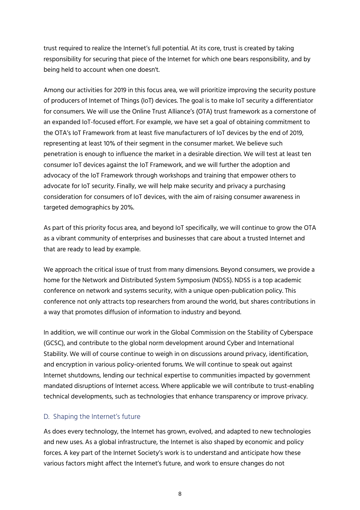trust required to realize the Internet's full potential. At its core, trust is created by taking responsibility for securing that piece of the Internet for which one bears responsibility, and by being held to account when one doesn't.

Among our activities for 2019 in this focus area, we will prioritize improving the security posture of producers of Internet of Things (IoT) devices. The goal is to make IoT security a differentiator for consumers. We will use the Online Trust Alliance's (OTA) trust framework as a cornerstone of an expanded IoT-focused effort. For example, we have set a goal of obtaining commitment to the OTA's IoT Framework from at least five manufacturers of IoT devices by the end of 2019, representing at least 10% of their segment in the consumer market. We believe such penetration is enough to influence the market in a desirable direction. We will test at least ten consumer IoT devices against the IoT Framework, and we will further the adoption and advocacy of the IoT Framework through workshops and training that empower others to advocate for IoT security. Finally, we will help make security and privacy a purchasing consideration for consumers of IoT devices, with the aim of raising consumer awareness in targeted demographics by 20%.

As part of this priority focus area, and beyond IoT specifically, we will continue to grow the OTA as a vibrant community of enterprises and businesses that care about a trusted Internet and that are ready to lead by example.

We approach the critical issue of trust from many dimensions. Beyond consumers, we provide a home for the Network and Distributed System Symposium (NDSS). NDSS is a top academic conference on network and systems security, with a unique open-publication policy. This conference not only attracts top researchers from around the world, but shares contributions in a way that promotes diffusion of information to industry and beyond.

In addition, we will continue our work in the Global Commission on the Stability of Cyberspace (GCSC), and contribute to the global norm development around Cyber and International Stability. We will of course continue to weigh in on discussions around privacy, identification, and encryption in various policy-oriented forums. We will continue to speak out against Internet shutdowns, lending our technical expertise to communities impacted by government mandated disruptions of Internet access. Where applicable we will contribute to trust-enabling technical developments, such as technologies that enhance transparency or improve privacy.

#### D. Shaping the Internet's future

As does every technology, the Internet has grown, evolved, and adapted to new technologies and new uses. As a global infrastructure, the Internet is also shaped by economic and policy forces. A key part of the Internet Society's work is to understand and anticipate how these various factors might affect the Internet's future, and work to ensure changes do not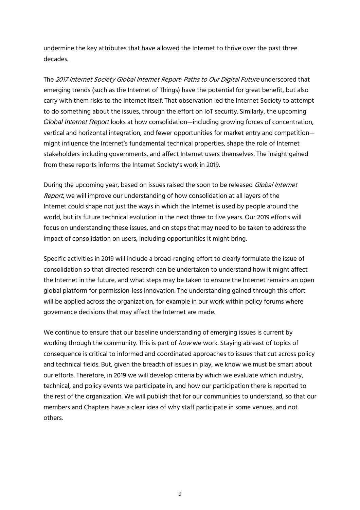undermine the key attributes that have allowed the Internet to thrive over the past three decades.

The <sup>2017</sup> Internet Society Global Internet Report: Paths to Our Digital Future underscored that emerging trends (such as the Internet of Things) have the potential for great benefit, but also carry with them risks to the Internet itself. That observation led the Internet Society to attempt to do something about the issues, through the effort on IoT security. Similarly, the upcoming *Global Internet Report* looks at how consolidation—including growing forces of concentration, vertical and horizontal integration, and fewer opportunities for market entry and competition might influence the Internet's fundamental technical properties, shape the role of Internet stakeholders including governments, and affect Internet users themselves. The insight gained from these reports informs the Internet Society's work in 2019.

During the upcoming year, based on issues raised the soon to be released Global Internet Report, we will improve our understanding of how consolidation at all layers of the Internet could shape not just the ways in which the Internet is used by people around the world, but its future technical evolution in the next three to five years. Our 2019 efforts will focus on understanding these issues, and on steps that may need to be taken to address the impact of consolidation on users, including opportunities it might bring.

Specific activities in 2019 will include a broad-ranging effort to clearly formulate the issue of consolidation so that directed research can be undertaken to understand how it might affect the Internet in the future, and what steps may be taken to ensure the Internet remains an open global platform for permission-less innovation. The understanding gained through this effort will be applied across the organization, for example in our work within policy forums where governance decisions that may affect the Internet are made.

We continue to ensure that our baseline understanding of emerging issues is current by working through the community. This is part of *how* we work. Staying abreast of topics of consequence is critical to informed and coordinated approaches to issues that cut across policy and technical fields. But, given the breadth of issues in play, we know we must be smart about our efforts. Therefore, in 2019 we will develop criteria by which we evaluate which industry, technical, and policy events we participate in, and how our participation there is reported to the rest of the organization. We will publish that for our communities to understand, so that our members and Chapters have a clear idea of why staff participate in some venues, and not others.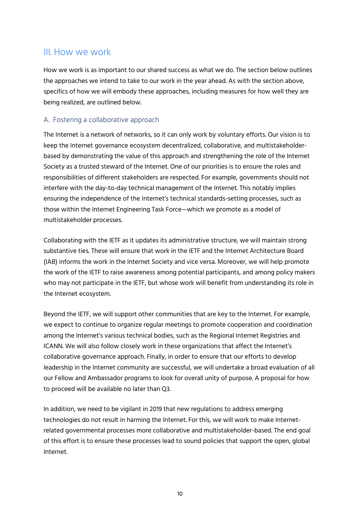### III. How we work

How we work is as important to our shared success as what we do. The section below outlines the approaches we intend to take to our work in the year ahead. As with the section above, specifics of how we will embody these approaches, including measures for how well they are being realized, are outlined below.

#### A. Fostering a collaborative approach

The Internet is a network of networks, so it can only work by voluntary efforts. Our vision is to keep the Internet governance ecosystem decentralized, collaborative, and multistakeholderbased by demonstrating the value of this approach and strengthening the role of the Internet Society as a trusted steward of the Internet. One of our priorities is to ensure the roles and responsibilities of different stakeholders are respected. For example, governments should not interfere with the day-to-day technical management of the Internet. This notably implies ensuring the independence of the Internet's technical standards-setting processes, such as those within the Internet Engineering Task Force—which we promote as a model of multistakeholder processes.

Collaborating with the IETF as it updates its administrative structure, we will maintain strong substantive ties. These will ensure that work in the IETF and the Internet Architecture Board (IAB) informs the work in the Internet Society and vice versa. Moreover, we will help promote the work of the IETF to raise awareness among potential participants, and among policy makers who may not participate in the IETF, but whose work will benefit from understanding its role in the Internet ecosystem.

Beyond the IETF, we will support other communities that are key to the Internet. For example, we expect to continue to organize regular meetings to promote cooperation and coordination among the Internet's various technical bodies, such as the Regional Internet Registries and ICANN. We will also follow closely work in these organizations that affect the Internet's collaborative governance approach. Finally, in order to ensure that our efforts to develop leadership in the Internet community are successful, we will undertake a broad evaluation of all our Fellow and Ambassador programs to look for overall unity of purpose. A proposal for how to proceed will be available no later than Q3.

In addition, we need to be vigilant in 2019 that new regulations to address emerging technologies do not result in harming the Internet. For this, we will work to make Internetrelated governmental processes more collaborative and multistakeholder-based. The end goal of this effort is to ensure these processes lead to sound policies that support the open, global Internet.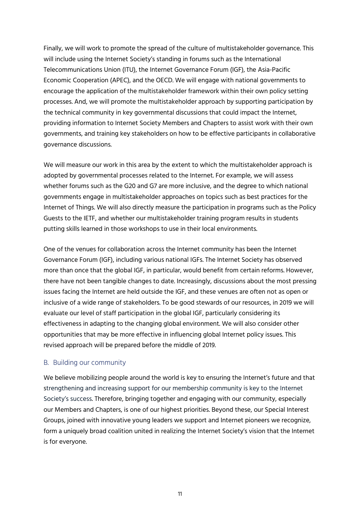Finally, we will work to promote the spread of the culture of multistakeholder governance. This will include using the Internet Society's standing in forums such as the International Telecommunications Union (ITU), the Internet Governance Forum (IGF), the Asia-Pacific Economic Cooperation (APEC), and the OECD. We will engage with national governments to encourage the application of the multistakeholder framework within their own policy setting processes. And, we will promote the multistakeholder approach by supporting participation by the technical community in key governmental discussions that could impact the Internet, providing information to Internet Society Members and Chapters to assist work with their own governments, and training key stakeholders on how to be effective participants in collaborative governance discussions.

We will measure our work in this area by the extent to which the multistakeholder approach is adopted by governmental processes related to the Internet. For example, we will assess whether forums such as the G20 and G7 are more inclusive, and the degree to which national governments engage in multistakeholder approaches on topics such as best practices for the Internet of Things. We will also directly measure the participation in programs such as the Policy Guests to the IETF, and whether our multistakeholder training program results in students putting skills learned in those workshops to use in their local environments.

One of the venues for collaboration across the Internet community has been the Internet Governance Forum (IGF), including various national IGFs. The Internet Society has observed more than once that the global IGF, in particular, would benefit from certain reforms. However, there have not been tangible changes to date. Increasingly, discussions about the most pressing issues facing the Internet are held outside the IGF, and these venues are often not as open or inclusive of a wide range of stakeholders. To be good stewards of our resources, in 2019 we will evaluate our level of staff participation in the global IGF, particularly considering its effectiveness in adapting to the changing global environment. We will also consider other opportunities that may be more effective in influencing global Internet policy issues. This revised approach will be prepared before the middle of 2019.

#### B. Building our community

We believe mobilizing people around the world is key to ensuring the Internet's future and that strengthening and increasing support for our membership community is key to the Internet Society's success. Therefore, bringing together and engaging with our community, especially our Members and Chapters, is one of our highest priorities. Beyond these, our Special Interest Groups, joined with innovative young leaders we support and Internet pioneers we recognize, form a uniquely broad coalition united in realizing the Internet Society's vision that the Internet is for everyone.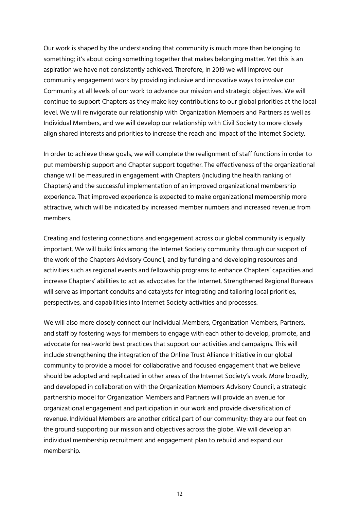Our work is shaped by the understanding that community is much more than belonging to something; it's about doing something together that makes belonging matter. Yet this is an aspiration we have not consistently achieved. Therefore, in 2019 we will improve our community engagement work by providing inclusive and innovative ways to involve our Community at all levels of our work to advance our mission and strategic objectives. We will continue to support Chapters as they make key contributions to our global priorities at the local level. We will reinvigorate our relationship with Organization Members and Partners as well as Individual Members, and we will develop our relationship with Civil Society to more closely align shared interests and priorities to increase the reach and impact of the Internet Society.

In order to achieve these goals, we will complete the realignment of staff functions in order to put membership support and Chapter support together. The effectiveness of the organizational change will be measured in engagement with Chapters (including the health ranking of Chapters) and the successful implementation of an improved organizational membership experience. That improved experience is expected to make organizational membership more attractive, which will be indicated by increased member numbers and increased revenue from members.

Creating and fostering connections and engagement across our global community is equally important. We will build links among the Internet Society community through our support of the work of the Chapters Advisory Council, and by funding and developing resources and activities such as regional events and fellowship programs to enhance Chapters' capacities and increase Chapters' abilities to act as advocates for the Internet. Strengthened Regional Bureaus will serve as important conduits and catalysts for integrating and tailoring local priorities, perspectives, and capabilities into Internet Society activities and processes.

We will also more closely connect our Individual Members, Organization Members, Partners, and staff by fostering ways for members to engage with each other to develop, promote, and advocate for real-world best practices that support our activities and campaigns. This will include strengthening the integration of the Online Trust Alliance Initiative in our global community to provide a model for collaborative and focused engagement that we believe should be adopted and replicated in other areas of the Internet Society's work. More broadly, and developed in collaboration with the Organization Members Advisory Council, a strategic partnership model for Organization Members and Partners will provide an avenue for organizational engagement and participation in our work and provide diversification of revenue. Individual Members are another critical part of our community: they are our feet on the ground supporting our mission and objectives across the globe. We will develop an individual membership recruitment and engagement plan to rebuild and expand our membership.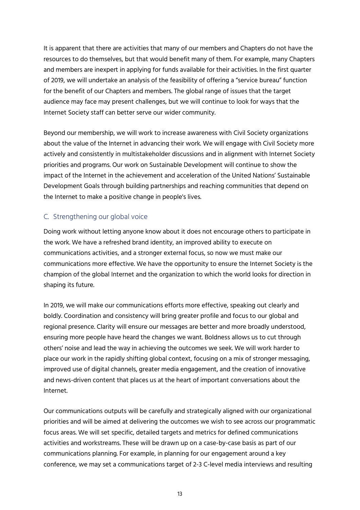It is apparent that there are activities that many of our members and Chapters do not have the resources to do themselves, but that would benefit many of them. For example, many Chapters and members are inexpert in applying for funds available for their activities. In the first quarter of 2019, we will undertake an analysis of the feasibility of offering a "service bureau" function for the benefit of our Chapters and members. The global range of issues that the target audience may face may present challenges, but we will continue to look for ways that the Internet Society staff can better serve our wider community.

Beyond our membership, we will work to increase awareness with Civil Society organizations about the value of the Internet in advancing their work. We will engage with Civil Society more actively and consistently in multistakeholder discussions and in alignment with Internet Society priorities and programs. Our work on Sustainable Development will continue to show the impact of the Internet in the achievement and acceleration of the United Nations' Sustainable Development Goals through building partnerships and reaching communities that depend on the Internet to make a positive change in people's lives.

#### C. Strengthening our global voice

Doing work without letting anyone know about it does not encourage others to participate in the work. We have a refreshed brand identity, an improved ability to execute on communications activities, and a stronger external focus, so now we must make our communications more effective. We have the opportunity to ensure the Internet Society is the champion of the global Internet and the organization to which the world looks for direction in shaping its future.

In 2019, we will make our communications efforts more effective, speaking out clearly and boldly. Coordination and consistency will bring greater profile and focus to our global and regional presence. Clarity will ensure our messages are better and more broadly understood, ensuring more people have heard the changes we want. Boldness allows us to cut through others' noise and lead the way in achieving the outcomes we seek. We will work harder to place our work in the rapidly shifting global context, focusing on a mix of stronger messaging, improved use of digital channels, greater media engagement, and the creation of innovative and news-driven content that places us at the heart of important conversations about the Internet.

Our communications outputs will be carefully and strategically aligned with our organizational priorities and will be aimed at delivering the outcomes we wish to see across our programmatic focus areas. We will set specific, detailed targets and metrics for defined communications activities and workstreams. These will be drawn up on a case-by-case basis as part of our communications planning. For example, in planning for our engagement around a key conference, we may set a communications target of 2-3 C-level media interviews and resulting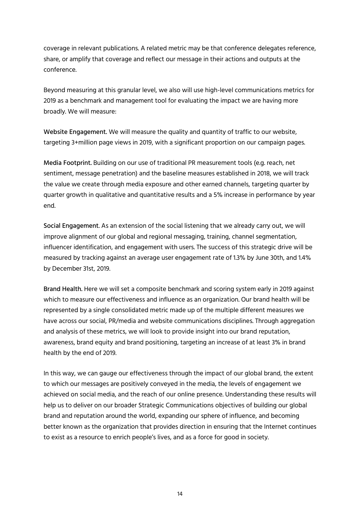coverage in relevant publications. A related metric may be that conference delegates reference, share, or amplify that coverage and reflect our message in their actions and outputs at the conference.

Beyond measuring at this granular level, we also will use high-level communications metrics for 2019 as a benchmark and management tool for evaluating the impact we are having more broadly. We will measure:

Website Engagement. We will measure the quality and quantity of traffic to our website, targeting 3+million page views in 2019, with a significant proportion on our campaign pages.

Media Footprint. Building on our use of traditional PR measurement tools (e.g. reach, net sentiment, message penetration) and the baseline measures established in 2018, we will track the value we create through media exposure and other earned channels, targeting quarter by quarter growth in qualitative and quantitative results and a 5% increase in performance by year end.

Social Engagement. As an extension of the social listening that we already carry out, we will improve alignment of our global and regional messaging, training, channel segmentation, influencer identification, and engagement with users. The success of this strategic drive will be measured by tracking against an average user engagement rate of 1.3% by June 30th, and 1.4% by December 31st, 2019.

Brand Health. Here we will set a composite benchmark and scoring system early in 2019 against which to measure our effectiveness and influence as an organization. Our brand health will be represented by a single consolidated metric made up of the multiple different measures we have across our social, PR/media and website communications disciplines. Through aggregation and analysis of these metrics, we will look to provide insight into our brand reputation, awareness, brand equity and brand positioning, targeting an increase of at least 3% in brand health by the end of 2019.

In this way, we can gauge our effectiveness through the impact of our global brand, the extent to which our messages are positively conveyed in the media, the levels of engagement we achieved on social media, and the reach of our online presence. Understanding these results will help us to deliver on our broader Strategic Communications objectives of building our global brand and reputation around the world, expanding our sphere of influence, and becoming better known as the organization that provides direction in ensuring that the Internet continues to exist as a resource to enrich people's lives, and as a force for good in society.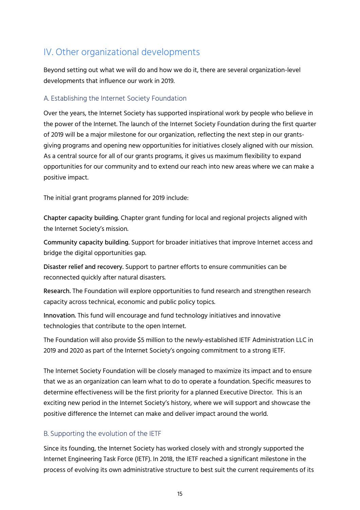## IV. Other organizational developments

Beyond setting out what we will do and how we do it, there are several organization-level developments that influence our work in 2019.

#### A. Establishing the Internet Society Foundation

Over the years, the Internet Society has supported inspirational work by people who believe in the power of the Internet. The launch of the Internet Society Foundation during the first quarter of 2019 will be a major milestone for our organization, reflecting the next step in our grantsgiving programs and opening new opportunities for initiatives closely aligned with our mission. As a central source for all of our grants programs, it gives us maximum flexibility to expand opportunities for our community and to extend our reach into new areas where we can make a positive impact.

The initial grant programs planned for 2019 include:

Chapter capacity building. Chapter grant funding for local and regional projects aligned with the Internet Society's mission.

Community capacity building. Support for broader initiatives that improve Internet access and bridge the digital opportunities gap.

Disaster relief and recovery. Support to partner efforts to ensure communities can be reconnected quickly after natural disasters.

Research. The Foundation will explore opportunities to fund research and strengthen research capacity across technical, economic and public policy topics.

Innovation. This fund will encourage and fund technology initiatives and innovative technologies that contribute to the open Internet.

The Foundation will also provide \$5 million to the newly-established IETF Administration LLC in 2019 and 2020 as part of the Internet Society's ongoing commitment to a strong IETF.

The Internet Society Foundation will be closely managed to maximize its impact and to ensure that we as an organization can learn what to do to operate a foundation. Specific measures to determine effectiveness will be the first priority for a planned Executive Director. This is an exciting new period in the Internet Society's history, where we will support and showcase the positive difference the Internet can make and deliver impact around the world.

#### B. Supporting the evolution of the IETF

Since its founding, the Internet Society has worked closely with and strongly supported the Internet Engineering Task Force (IETF). In 2018, the IETF reached a significant milestone in the process of evolving its own administrative structure to best suit the current requirements of its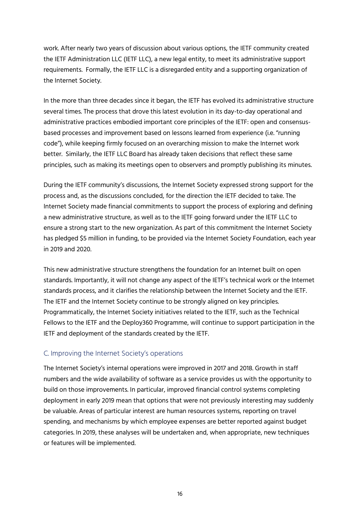work. After nearly two years of discussion about various options, the IETF community created the IETF Administration LLC (IETF LLC), a new legal entity, to meet its administrative support requirements. Formally, the IETF LLC is a disregarded entity and a supporting organization of the Internet Society.

In the more than three decades since it began, the IETF has evolved its administrative structure several times. The process that drove this latest evolution in its day-to-day operational and administrative practices embodied important core principles of the IETF: open and consensusbased processes and improvement based on lessons learned from experience (i.e. "running code"), while keeping firmly focused on an overarching mission to make the Internet work better. Similarly, the IETF LLC Board has already taken decisions that reflect these same principles, such as making its meetings open to observers and promptly publishing its minutes.

During the IETF community's discussions, the Internet Society expressed strong support for the process and, as the discussions concluded, for the direction the IETF decided to take. The Internet Society made financial commitments to support the process of exploring and defining a new administrative structure, as well as to the IETF going forward under the IETF LLC to ensure a strong start to the new organization. As part of this commitment the Internet Society has pledged \$5 million in funding, to be provided via the Internet Society Foundation, each year in 2019 and 2020.

This new administrative structure strengthens the foundation for an Internet built on open standards. Importantly, it will not change any aspect of the IETF's technical work or the Internet standards process, and it clarifies the relationship between the Internet Society and the IETF. The IETF and the Internet Society continue to be strongly aligned on key principles. Programmatically, the Internet Society initiatives related to the IETF, such as the Technical Fellows to the IETF and the Deploy360 Programme, will continue to support participation in the IETF and deployment of the standards created by the IETF.

#### C. Improving the Internet Society's operations

The Internet Society's internal operations were improved in 2017 and 2018. Growth in staff numbers and the wide availability of software as a service provides us with the opportunity to build on those improvements. In particular, improved financial control systems completing deployment in early 2019 mean that options that were not previously interesting may suddenly be valuable. Areas of particular interest are human resources systems, reporting on travel spending, and mechanisms by which employee expenses are better reported against budget categories. In 2019, these analyses will be undertaken and, when appropriate, new techniques or features will be implemented.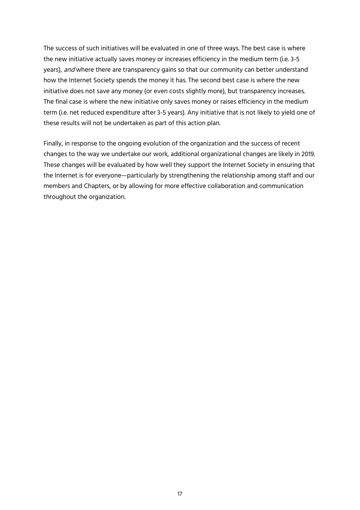The success of such initiatives will be evaluated in one of three ways. The best case is where the new initiative actually saves money or increases efficiency in the medium term (i.e. 3-5 years), and where there are transparency gains so that our community can better understand how the Internet Society spends the money it has. The second best case is where the new initiative does not save any money (or even costs slightly more), but transparency increases. The final case is where the new initiative only saves money or raises efficiency in the medium term (i.e. net reduced expenditure after 3-5 years). Any initiative that is not likely to yield one of these results will not be undertaken as part of this action plan.

Finally, in response to the ongoing evolution of the organization and the success of recent changes to the way we undertake our work, additional organizational changes are likely in 2019. These changes will be evaluated by how well they support the Internet Society in ensuring that the Internet is for everyone—particularly by strengthening the relationship among staff and our members and Chapters, or by allowing for more effective collaboration and communication throughout the organization.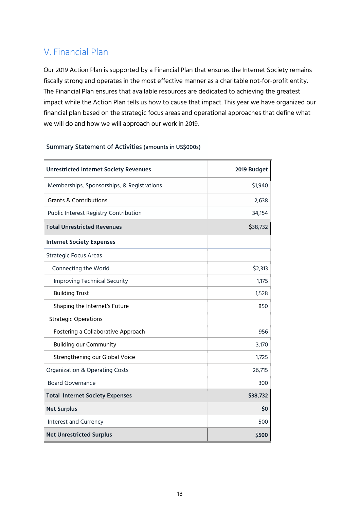## V. Financial Plan

Our 2019 Action Plan is supported by a Financial Plan that ensures the Internet Society remains fiscally strong and operates in the most effective manner as a charitable not-for-profit entity. The Financial Plan ensures that available resources are dedicated to achieving the greatest impact while the Action Plan tells us how to cause that impact. This year we have organized our financial plan based on the strategic focus areas and operational approaches that define what we will do and how we will approach our work in 2019.

| <b>Unrestricted Internet Society Revenues</b> | 2019 Budget |
|-----------------------------------------------|-------------|
| Memberships, Sponsorships, & Registrations    | \$1,940     |
| <b>Grants &amp; Contributions</b>             | 2,638       |
| Public Interest Registry Contribution         | 34,154      |
| <b>Total Unrestricted Revenues</b>            | \$38,732    |
| <b>Internet Society Expenses</b>              |             |
| <b>Strategic Focus Areas</b>                  |             |
| Connecting the World                          | \$2,313     |
| <b>Improving Technical Security</b>           | 1,175       |
| <b>Building Trust</b>                         | 1,528       |
| Shaping the Internet's Future                 | 850         |
| <b>Strategic Operations</b>                   |             |
| Fostering a Collaborative Approach            | 956         |
| <b>Building our Community</b>                 | 3,170       |
| Strengthening our Global Voice                | 1,725       |
| <b>Organization &amp; Operating Costs</b>     | 26,715      |
| <b>Board Governance</b>                       | 300         |
| <b>Total Internet Society Expenses</b>        | \$38,732    |
| <b>Net Surplus</b>                            | \$0         |
| Interest and Currency                         | 500         |
| <b>Net Unrestricted Surplus</b>               | \$500       |

#### Summary Statement of Activities (amounts in US\$000s)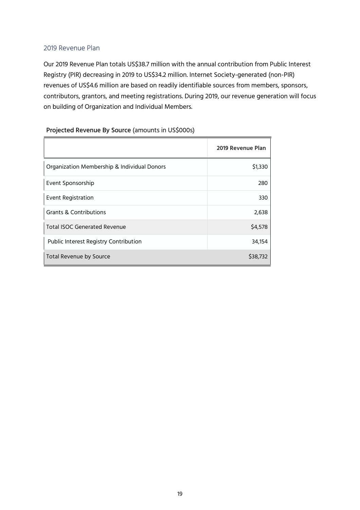#### 2019 Revenue Plan

Our 2019 Revenue Plan totals US\$38.7 million with the annual contribution from Public Interest Registry (PIR) decreasing in 2019 to US\$34.2 million. Internet Society-generated (non-PIR) revenues of US\$4.6 million are based on readily identifiable sources from members, sponsors, contributors, grantors, and meeting registrations. During 2019, our revenue generation will focus on building of Organization and Individual Members.

#### Projected Revenue By Source (amounts in US\$000s)

|                                             | 2019 Revenue Plan |
|---------------------------------------------|-------------------|
| Organization Membership & Individual Donors | \$1,330           |
| Event Sponsorship                           | 280               |
| <b>Event Registration</b>                   | 330               |
| Grants & Contributions                      | 2,638             |
| Total ISOC Generated Revenue                | \$4,578           |
| Public Interest Registry Contribution       | 34,154            |
| Total Revenue by Source                     | \$38,732          |